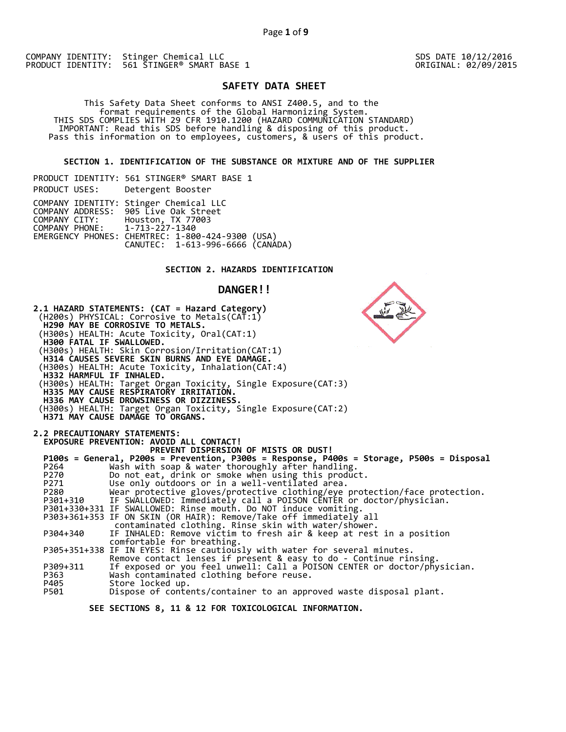SDS DATE 10/12/2016 ORIGINAL: 02/09/2015

# **SAFETY DATA SHEET**

This Safety Data Sheet conforms to ANSI Z400.5, and to the<br>format requirements of the Global Harmonizing System.<br>THIS SDS COMPLIES WITH 29 CFR 1910.1200 (HAZARD COMMUNICATION STANDARD)<br>IMPORTANT: Read this SDS before handl

 **SECTION 1. IDENTIFICATION OF THE SUBSTANCE OR MIXTURE AND OF THE SUPPLIER** 

|                               | PRODUCT IDENTITY: 561 STINGER® SMART BASE 1                                                                                                                                                               |
|-------------------------------|-----------------------------------------------------------------------------------------------------------------------------------------------------------------------------------------------------------|
| PRODUCT USES:                 | Detergent Booster                                                                                                                                                                                         |
| COMPANY PHONE: 1-713-227-1340 | COMPANY IDENTITY: Stinger Chemical LLC<br>COMPANY ADDRESS: 905 Live Oak Street<br>COMPANY CITY: Houston, TX 77003<br>EMERGENCY PHONES: CHEMTREC: 1-800-424-9300 (USA)<br>CANUTEC: 1-613-996-6666 (CANÁDA) |

# **SECTION 2. HAZARDS IDENTIFICATION**

# **DANGER!!**

| <b>H300 FATAL IF SWALLOWED.</b><br><b>H332 HARMFUL IF INHALED.</b> | 2.1 HAZARD STATEMENTS: (CAT = Hazard Category)<br>(H200s) PHYSICAL: Corrosive to Metals(CAT:1)<br><b>H290 MAY BE CORROSIVE TO METALS.</b><br>(H300s) HEALTH: Acute Toxicity, Oral(CAT:1)<br>(H300s) HEALTH: Skin Corrosion/Irritation(CAT:1)<br><b>H314 CAUSES SEVERE SKIN BURNS AND EYE DAMAGE.</b><br>(H300s) HEALTH: Acute Toxicity, Inhalation(CAT:4)<br>(H300s) HEALTH: Target Organ Toxicity, Single Exposure(CAT:3)<br>H335 MAY CAUSE RESPIRATORY IRRITATION.<br>H336 MAY CAUSE DROWSINESS OR DIZZINESS.<br>(H300s) HEALTH: Target Organ Toxicity, Single Exposure(CAT:2)<br><b>H371 MAY CAUSE DAMAGE TO ORGANS.</b>                                                                                                                                                                                       |
|--------------------------------------------------------------------|-------------------------------------------------------------------------------------------------------------------------------------------------------------------------------------------------------------------------------------------------------------------------------------------------------------------------------------------------------------------------------------------------------------------------------------------------------------------------------------------------------------------------------------------------------------------------------------------------------------------------------------------------------------------------------------------------------------------------------------------------------------------------------------------------------------------|
| P264<br>P270<br>P271<br>P280<br>P304+340                           | 2.2 PRECAUTIONARY STATEMENTS:<br>EXPOSURE PREVENTION: AVOID ALL CONTACT!<br>PREVENT DISPERSION OF MISTS OR DUST!<br>P100s = General, P200s = Prevention, P300s = Response, P400s = Storage, P500s = Disposal<br>Wash with soap & water thoroughly after handling.<br>Do not eat, drink or smoke when using this product.<br>Use only outdoors or in a well-ventilated area.<br>Wear protective gloves/protective clothing/eye protection/face protection.<br>P301+310 IF SWALLOWED: Immediately call a POISON CENTER or doctor/physician.<br>P301+330+331 IF SWALLOWED: Rinse mouth. Do NOT induce vomiting.<br>P303+361+353 IF ON SKIN (OR HAIR): Remove/Take off immediately all<br>contaminated clothing. Rinse skin with water/shower.<br>IF INHALED: Remove victim to fresh air & keep at rest in a position |
| P309+311<br>P363<br>P405<br>P501                                   | comfortable for breathing.<br>P305+351+338 IF IN EYES: Rinse cautiously with water for several minutes.<br>Remove contact lenses if present & easy to do - Continue rinsing.<br>If exposed or you feel unwell: Call a POISON CENTER or doctor/physician.<br>Wash contaminated clothing before reuse.<br>Store locked up.<br>Dispose of contents/container to an approved waste disposal plant.                                                                                                                                                                                                                                                                                                                                                                                                                    |
|                                                                    | SEE SECTIONS 8, 11 & 12 FOR TOXICOLOGICAL INFORMATION.                                                                                                                                                                                                                                                                                                                                                                                                                                                                                                                                                                                                                                                                                                                                                            |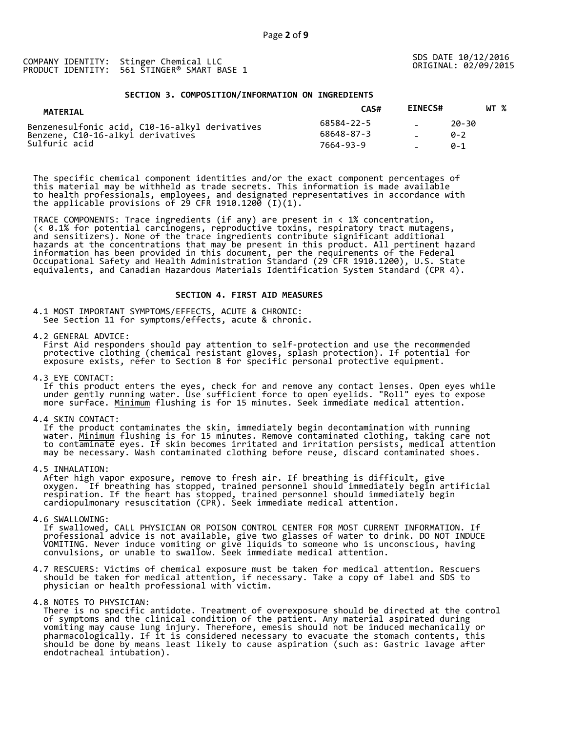#### **SECTION 3. COMPOSITION/INFORMATION ON INGREDIENTS**

| <b>MATERIAL</b>                                                                                                                               | <b>EINECS#</b><br>CAS# | WT %                |
|-----------------------------------------------------------------------------------------------------------------------------------------------|------------------------|---------------------|
| 68584-22-5<br>Benzenesulfonic acid, C10-16-alkyl derivatives<br>68648-87-3<br>Benzene, C10-16-alkyl derivatives<br>Sulfuric acid<br>7664-93-9 |                        | 20-30<br>ค-ว<br>ค-1 |

The specific chemical component identities and/or the exact component percentages of this material may be withheld as trade secrets. This information is made available to health professionals, employees, and designated representatives in accordance with the applicable provisions of 29 CFR 1910.1200  $(I)(1)$ .

TRACE COMPONENTS: Trace ingredients (if any) are present in < 1% concentration, (< 0.1% for potential carcinogens, reproductive toxins, respiratory tract mutagens, and sensitizers). None of the trace ingredients contribute significant additional hazards at the concentrations that may be present in this product. All pertinent hazard information has been provided in this document, per the requirements of the Federal Occupational Safety and Health Administration Standard (29 CFR 1910.1200), U.S. State equivalents, and Canadian Hazardous Materials Identification System Standard (CPR 4).

## **SECTION 4. FIRST AID MEASURES**

4.1 MOST IMPORTANT SYMPTOMS/EFFECTS, ACUTE & CHRONIC: See Section 11 for symptoms/effects, acute & chronic.

4.2 GENERAL ADVICE:<br>First Aid responders should pay attention to self-protection and use the recommended protective clothing (chemical resistant gloves, splash protection). If potential for<br>exposure exists, refer to Section 8 for specific personal protective equipment.

4.3 EYE CONTACT:<br>If this product enters the eyes, check for and remove any contact lenses. Open eyes while<br>under gently running water. Use sufficient force to open eyelids. "Roll" eyes to expose<br>more surface. <u>Minimum</u> flu

4.4 SKIN CONTACT:<br>If the product contaminates the skin, immediately begin decontamination with running<br>water. <u>Minimum</u> flushing is for 15 minutes. Remove contaminated clothing, taking care not<br>to contaminate eyes. If skin

4.5 INHALATION:<br>After high vapor exposure, remove to fresh air. If breathing is difficult, give<br>oxygen. If breathing has stopped, trained personnel should immediately begin artificial<br>respiration. If the heart has stopped,

4.6 SWALLOWING:<br>If swallowed, CALL PHYSICIAN OR POISON CONTROL CENTER FOR MOST CURRENT INFORMATION. If<br>professional advice is not available, give two glasses of water to drink. DO NOT INDUCE<br>VOMITING. Never induce vomiting

- 4.7 RESCUERS: Victims of chemical exposure must be taken for medical attention. Rescuers should be taken for medical attention, if necessary. Take a copy of label and SDS to physician or health professional with victim.
- 

4.8 NOTES TO PHYSICIAN:<br>There is no specific antidote. Treatment of overexposure should be directed at the control of symptoms and the clinical condition of the patient. Any material aspirated during<br>vomiting may cause lung injury. Therefore, emesis should not be induced mechanically or<br>pharmacologically. If it is considered necessary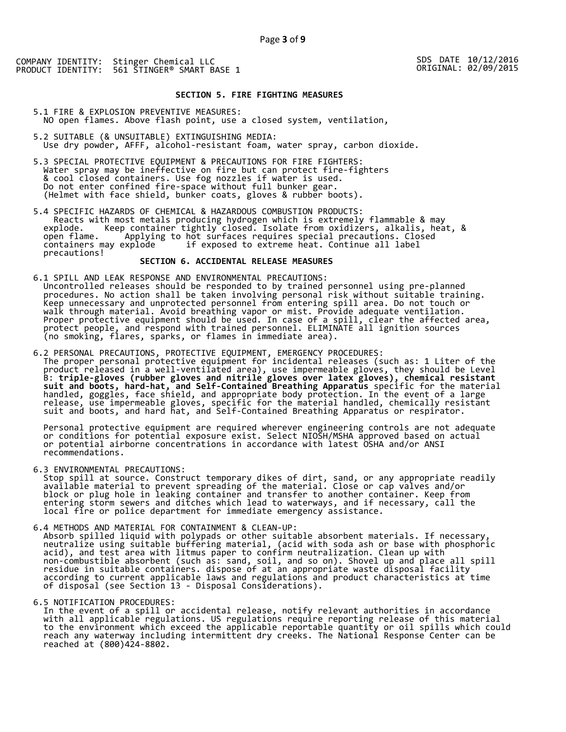#### **SECTION 5. FIRE FIGHTING MEASURES**

5.1 FIRE & EXPLOSION PREVENTIVE MEASURES: NO open flames. Above flash point, use a closed system, ventilation,

- 5.2 SUITABLE (& UNSUITABLE) EXTINGUISHING MEDIA: Use dry powder, AFFF, alcohol-resistant foam, water spray, carbon dioxide.
- 5.3 SPECIAL PROTECTIVE EQUIPMENT & PRECAUTIONS FOR FIRE FIGHTERS:<br>Water spray may be ineffective on fire but can protect fire-fighters<br>& cool closed containers. Use fog nozzles if water is used.<br>Do not enter confined fire-
- 5.4 SPECIFIC HAZARDS OF CHEMICAL & HAZARDOUS COMBUSTION PRODUCTS: Reacts with most metals producing hydrogen which is extremely flammable & may explode. Keep container tightly closed. Isolate from oxidizers, alkalis, heat, & open flame. Applying to hot surfaces requires special precautions. Closed containers may explode if exposed to extreme heat. Continue all label precautions!

## **SECTION 6. ACCIDENTAL RELEASE MEASURES**

- 6.1 SPILL AND LEAK RESPONSE AND ENVIRONMENTAL PRECAUTIONS:<br>Uncontrolled releases should be responded to by trained personnel using pre-planned<br>procedures. No action shall be taken involving personal risk without suitable t
- 6.2 PERSONAL PRECAUTIONS, PROTECTIVE EQUIPMENT, EMERGENCY PROCEDURES:<br>The proper personal protective equipment for incidental releases (such as: 1 Liter of the<br>product released in a well-ventilated area), use impermeable g

Personal protective equipment are required wherever engineering controls are not adequate<br>or conditions for potential exposure exist. Select NIOSH/MSHA approved based on actual<br>or potential airborne concentrations in accor

6.3 ENVIRONMENTAL PRECAUTIONS:<br>Stop spill at source. Construct temporary dikes of dirt, sand, or any appropriate readily<br>available material to prevent spreading of the material. Close or cap valves and/or<br>block or plug hol

6.4 METHODS AND MATERIAL FOR CONTAINMENT & CLEAN-UP:<br>Absorb spilled liquid with polypads or other suitable absorbent materials. If necessary,<br>neutralize using suitable buffering material, (acid with soda ash or base with p

6.5 NOTIFICATION PROCEDURES:<br>In the event of a spill or accidental release, notify relevant authorities in accordance with all applicable regulations. US regulations require reporting release of this material<br>to the environment which exceed the applicable reportable quantity or oil spills which could<br>reach any waterway including intermitt

SDS DATE 10/12/2016 ORIGINAL: 02/09/2015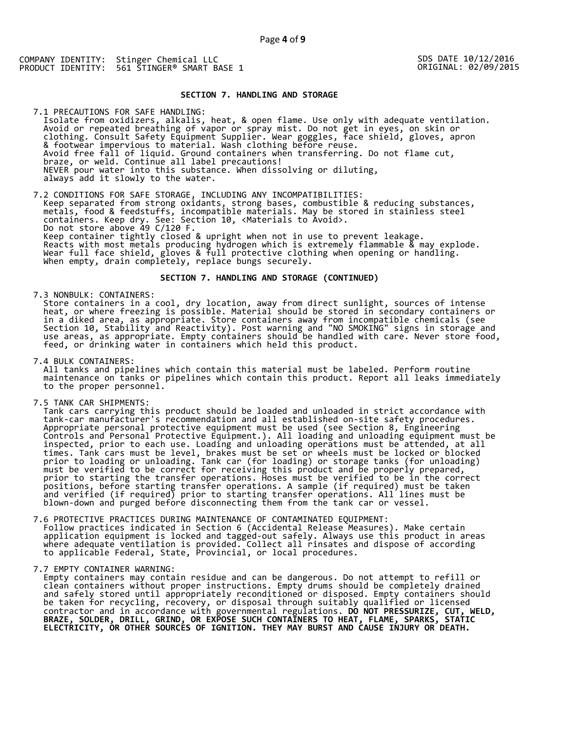## SDS DATE 10/12/2016 ORIGINAL: 02/09/2015

#### **SECTION 7. HANDLING AND STORAGE**

7.1 PRECAUTIONS FOR SAFE HANDLING: Isolate from oxidizers, alkalis, heat, & open flame. Use only with adequate ventilation. Avoid or repeated breathing of vapor or spray mist. Do not get in eyes, on skin or clothing. Consult Safety Equipment Supplier. Wear goggles, face shield, gloves, apron & footwear impervious to material. Wash clothing before reuse.<br>Avoid free fall of liquid. Ground containers when transferring. Do not flame cut,<br>braze, or weld. Continue all label precautions!<br>NEVER pour water into this su

7.2 CONDITIONS FOR SAFE STORAGE, INCLUDING ANY INCOMPATIBILITIES: Keep separated from strong oxidants, strong bases, combustible & reducing substances, metals, food & feedstuffs, incompatible materials. May be stored in stainless steel Do not store above 49 C/120 F.<br>Keep container tightly closed & upright when not in use to prevent leakage.<br>Reacts with most metals producing hydrogen which is extremely flammable & may explode.<br>Wear full face shield, glove

#### **SECTION 7. HANDLING AND STORAGE (CONTINUED)**

7.3 NONBULK: CONTAINERS:<br>Store containers in a cool, dry location, away from direct sunlight, sources of intense<br>heat, or where freezing is possible. Material should be stored in secondary containers or<br>in a diked area, as

7.4 BULK CONTAINERS:<br>All tanks and pipelines which contain this material must be labeled. Perform routine maintenance on tanks or pipelines which contain this product. Report all leaks immediately<br>to the proper personnel.

7.5 TANK CAR SHIPMENTS:<br>
Tank cars carrying this product should be loaded and unloaded in strict accordance with<br>
tank-car manufacturer's recommendation and all established on-site safety procedures.<br>
Appropriate personal

7.6 PROTECTIVE PRACTICES DURING MAINTENANCE OF CONTAMINATED EQUIPMENT:<br>Follow practices indicated in Section 6 (Accidental Release Measures). Make certain<br>application equipment is locked and tagged-out safely. Always use t

7.7 EMPTY CONTAINER WARNING:<br>Empty containers may contain residue and can be dangerous. Do not attempt to refill or<br>clean containers without proper instructions. Empty drums should be completely drained<br>and safely stored u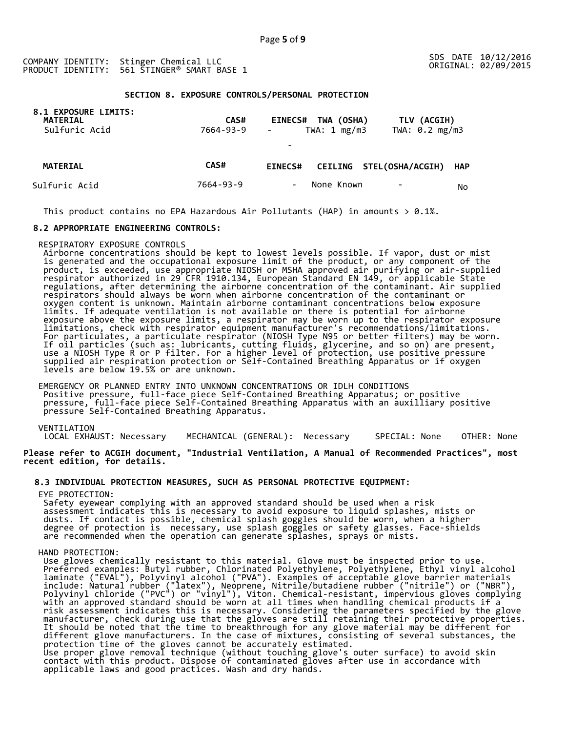#### **SECTION 8. EXPOSURE CONTROLS/PERSONAL PROTECTION**

| 8.1 EXPOSURE LIMITS:<br><b>MATERIAL</b><br>Sulfuric Acid | <b>CAS#</b><br>7664-93-9 | TWA (OSHA)<br><b>EINECS#</b><br>TWA: $1 \text{ mg/m3}$<br>$\blacksquare$<br>$\overline{\phantom{a}}$ | TLV (ACGIH)<br>TWA: 0.2 mg/m3 |  |
|----------------------------------------------------------|--------------------------|------------------------------------------------------------------------------------------------------|-------------------------------|--|
| <b>MATERIAL</b>                                          | CAS#                     | CEILING STEL(OSHA/ACGIH)<br><b>EINECS#</b>                                                           | <b>HAP</b>                    |  |
| Sulfuric Acid                                            | 7664-93-9                | None Known<br>$\qquad \qquad \blacksquare$                                                           | No                            |  |

This product contains no EPA Hazardous Air Pollutants (HAP) in amounts  $> 0.1\%$ .

# **8.2 APPROPRIATE ENGINEERING CONTROLS:**

RESPIRATORY EXPOSURE CONTROLS<br>Airborne concentrations should be kept to lowest levels possible. If vapor, dust or mist<br>is generated and the occupational exposure limit of the product, or any component of the<br>product, is ex oxygen content is unknown. Maintain airborne contaminant concentrations below exposure<br>limits. If adequate ventilation is not available or there is potential for airborne<br>exposure above the exposure limits, a respirator ma

EMERGENCY OR PLANNED ENTRY INTO UNKNOWN CONCENTRATIONS OR IDLH CONDITIONS<br>Positive pressure, full-face piece Self-Contained Breathing Apparatus; or positive<br>pressure, full-face piece Self-Contained Breathing Apparatus with

VENTILATION<br>LOCAL EXHAUST: Necessary MECHANICAL (GENERAL): Necessary SPECIAL: None OTHER: None

**Please refer to ACGIH document, "Industrial Ventilation, A Manual of Recommended Practices", most recent edition, for details.** 

## **8.3 INDIVIDUAL PROTECTION MEASURES, SUCH AS PERSONAL PROTECTIVE EQUIPMENT:**

EYE PROTECTION:<br>Safety eyewear complying with an approved standard should be used when a risk Safety eyewear complying with an approved standard should be used when a risk<br>assessment indicates this is necessary to avoid exposure to liquid splashes, mists or<br>dusts. If contact is possible, chemical splash goggles sho are recommended when the operation can generate splashes, sprays or mists.

## HAND PROTECTION:

HAND PROTECTION:<br>
Use gloves chemically resistant to this material. Glove must be inspected prior to use.<br>
Use gloves chemically resistant to this material. Glove must be inspected prior to use.<br>
Preferred examples: Butyl different glove manufacturers. In the case of mixtures, consisting of several substances, the<br>protection time of the gloves cannot be accurately estimated.<br>Use proper glove removal technique (without touching glove's outer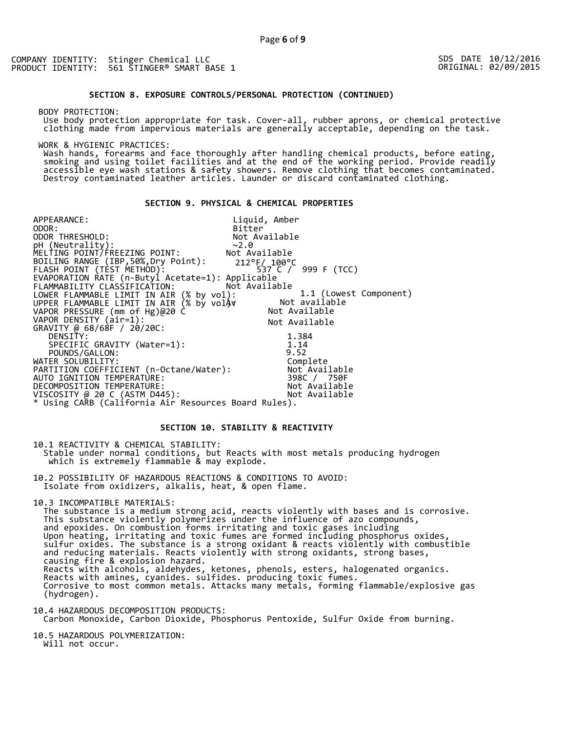SDS DATE 10/12/2016 ORIGINAL: 02/09/2015

## **SECTION 8. EXPOSURE CONTROLS/PERSONAL PROTECTION (CONTINUED)**

BODY PROTECTION:

Use body protection appropriate for task. Cover-all, rubber aprons, or chemical protective clothing made from impervious materials are generally acceptable, depending on the task.

WORK & HYGIENIC PRACTICES:

Wash hands, forearms and face thoroughly after handling chemical products, before eating, smoking and using toilet facilities and at the end of the working period. Provide readily accessible eye wash stations & safety show

# **SECTION 9. PHYSICAL & CHEMICAL PROPERTIES**

 $\sim$ 2.0<br>Not Available 212°F/ 100°C 537 C / 999 F (TCC) Applicable Not Available  $\mathcal{C}$ Av 1.1 (Lowest Component) Not available Not Available Not Available APPEARANCE: Liquid, Amber<br>ODOR: Liquid, Amber<br>Bitter Bitter<br>Not Available ODOR THRESHOLD: pH (Neutrality): ~2.0 MELTING POINT/FREEZING POINT: BOILING RANGE (IBP,50%,Dry Point): FLASH POINT (TEST METHOD): EVAPORATION RATE (n-Butyl Acetate=1): FLAMMABILITY CLASSIFICATION: LOWER FLAMMABLE LIMIT IN AIR (% by vol): UPPER FLAMMABLE LIMIT IN AIR (% by volÅv<br>VAPOR PRESSURE (mm of Hg)@20 C VAPOR DENSITY (air=1): GRAVITY @ 68/68F / 20/20C: DENSITY: 1.384 SPECIFIC GRAVITY (Water=1): 1.<sup>14</sup> SPECIFIC GRAVITY (Water=1):  $1.14$ <br>POUNDS/GALLON: 9.52<br>ER SOLUBILITY: Complete WATER SOLUBILITY: Complete PARTITION COEFFICIENT (n-Octane/Water): AUTO IGNITION TEMPERATURE: 398C / 750F DECOMPOSITION TEMPERATURE:<br>VISCOSITY @ 20 C (ASTM D445): Not Available VISCOSITY @ 20 C (ASTM D445): Not Available \* Using CARB (California Air Resources Board Rules).

# **SECTION 10. STABILITY & REACTIVITY**

10.1 REACTIVITY & CHEMICAL STABILITY: Stable under normal conditions, but Reacts with most metals producing hydrogen which is extremely flammable & may explode.

10.2 POSSIBILITY OF HAZARDOUS REACTIONS & CONDITIONS TO AVOID: Isolate from oxidizers, alkalis, heat, & open flame.

10.3 INCOMPATIBLE MATERIALS:<br>The substance is a medium strong acid, reacts violently with bases and is corrosive. The substance is a medium strong acid, reacts violently with bases and is corrosive.<br>This substance violently polymerizes under the influence of azo compounds,<br>and epoxides. On combustion forms irritating and toxic gases i sulfur oxides. The substance is a strong oxidant & reacts violently with combustible causing into a copies matrix.<br>Reacts with alcohols, aldehydes, ketones, phenols, esters, halogenated organics.<br>Reacts with amines, cyanides. sulfides. producing toxic fumes.<br>Corrosive to most common metals. Attacks many me

10.4 HAZARDOUS DECOMPOSITION PRODUCTS: Carbon Monoxide, Carbon Dioxide, Phosphorus Pentoxide, Sulfur Oxide from burning.

10.5 HAZARDOUS POLYMERIZATION: Will not occur.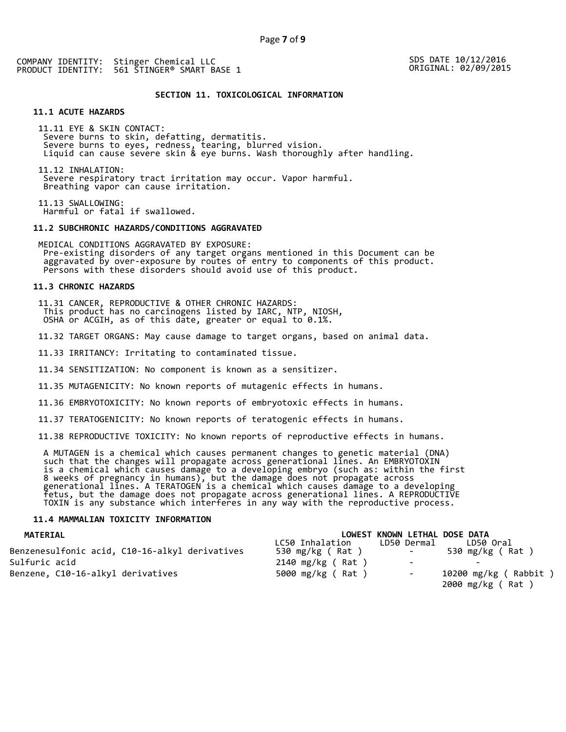SDS DATE 10/12/2016 ORIGINAL: 02/09/2015

# **SECTION 11. TOXICOLOGICAL INFORMATION**

# **11.1 ACUTE HAZARDS**

11.11 EYE & SKIN CONTACT: Severe burns to skin, defatting, dermatitis.<br>Severe burns to eyes, redness, tearing, blurred vision.<br>Liquid can cause severe skin & eye burns. Wash thoroughly after handling.

11.12 INHALATION:<br>Severe respiratory tract irritation may occur. Vapor harmful.<br>Breathing vapor can cause irritation.

11.13 SWALLOWING: Harmful or fatal if swallowed.

# **11.2 SUBCHRONIC HAZARDS/CONDITIONS AGGRAVATED**

MEDICAL CONDITIONS AGGRAVATED BY EXPOSURE: Pre-existing disorders of any target organs mentioned in this Document can be aggravated by over-exposure by routes of entry to components of this product. Persons with these disorders should avoid use of this product.

#### **11.3 CHRONIC HAZARDS**

11.31 CANCER, REPRODUCTIVE & OTHER CHRONIC HAZARDS: This product has no carcinogens listed by IARC, NTP, NIOSH, OSHA or ACGIH, as of this date, greater or equal to 0.1%.

11.32 TARGET ORGANS: May cause damage to target organs, based on animal data.

11.33 IRRITANCY: Irritating to contaminated tissue.

11.34 SENSITIZATION: No component is known as a sensitizer.

11.35 MUTAGENICITY: No known reports of mutagenic effects in humans.

11.36 EMBRYOTOXICITY: No known reports of embryotoxic effects in humans.

11.37 TERATOGENICITY: No known reports of teratogenic effects in humans.

11.38 REPRODUCTIVE TOXICITY: No known reports of reproductive effects in humans.

A MUTAGEN is a chemical which causes permanent changes to genetic material (DNA)<br>such that the changes will propagate across generational lines. An EMBRYOTOXIN<br>is a chemical which causes damage to a developing embryo (such

## **11.4 MAMMALIAN TOXICITY INFORMATION**

| <b>MATERIAL</b>                                |                              | LOWEST KNOWN LETHAL DOSE DATA |                          |
|------------------------------------------------|------------------------------|-------------------------------|--------------------------|
|                                                | LC50 Inhalation              | LD50 Dermal                   | LD50 Oral                |
| Benzenesulfonic acid, C10-16-alkyl derivatives | 530 $mg/kg$ (Rat)            |                               | 530 mg/kg (Rat)          |
| Sulfuric acid                                  | $2140 \, \text{mg/kg}$ (Rat) | $\overline{\phantom{0}}$      | $\overline{\phantom{0}}$ |
| Benzene, C10-16-alkyl derivatives              | 5000 mg/kg (Rat)             | $\overline{\phantom{a}}$      | 10200 mg/kg ( Rabbit )   |
|                                                |                              |                               | 2000 mg/kg (Rat)         |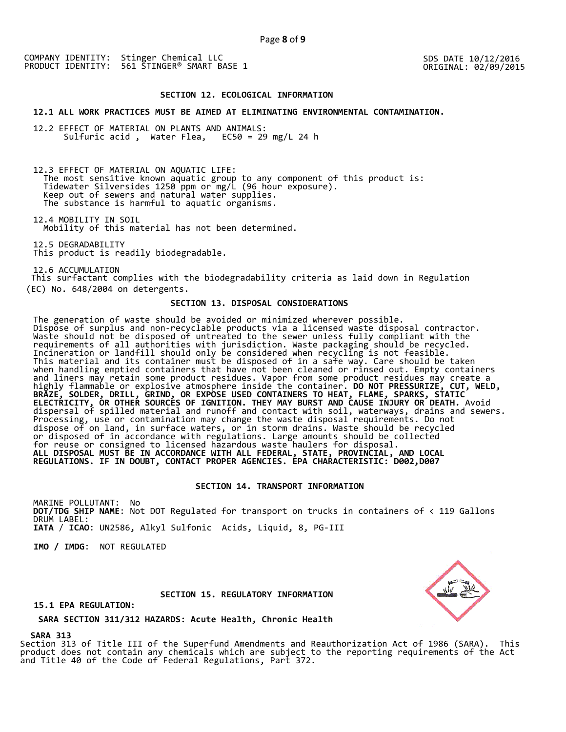SDS DATE 10/12/2016 ORIGINAL: 02/09/2015

#### **SECTION 12. ECOLOGICAL INFORMATION**

#### **12.1 ALL WORK PRACTICES MUST BE AIMED AT ELIMINATING ENVIRONMENTAL CONTAMINATION.**

12.2 EFFECT OF MATERIAL ON PLANTS AND ANIMALS: Sulfuric acid , Water Flea, EC50 = 29 mg/L 24 h

12.3 EFFECT OF MATERIAL ON AQUATIC LIFE: The most sensitive known aquatic group to any component of this product is:<br>Tidewater Silversides 1250 ppm or mg/L (96 hour exposure).<br>Keep out of sewers and natural water supplies.<br>The substance is harmful to aquatic orga

12.4 MOBILITY IN SOIL Mobility of this material has not been determined.

12.5 DEGRADABILITY<br>This product is readily biodegradable.

12.6 ACCUMULATION This surfactant complies with the biodegradability criteria as laid down in Regulation (EC) No. 648/2004 on detergents.

## **SECTION 13. DISPOSAL CONSIDERATIONS**

The generation of waste should be avoided or minimized wherever possible. Dispose of surplus and non-recyclable products via a licensed waste disposal contractor. Waste should not be disposed of untreated to the sewer unless fully compliant with the requirements of all authorities with jurisdiction. Waste packaging should be recycled. Incineration or landfill should only be considered when recycling is not feasible. This material and its container must be disposed of in a safe way. Care should be taken when handling emptied containers that have not been cleaned or rinsed out. Empty containers and liners may retain some product residues. Vapor from some product residues may create a highly flammable or explosive atmosphere inside the container. **DO NOT PRESSURIZE, CUT, WELD, BRAZE, SOLDER, DRILL, GRIND, OR EXPOSE USED CONTAINERS TO HEAT, FLAME, SPARKS, STATIC ELECTRICITY, OR OTHER SOURCES OF IGNITION. THEY MAY BURST AND CAUSE INJURY OR DEATH.** Avoid dispersal of spilled material and runoff and contact with soil, waterways, drains and sewers. Processing, use or contamination may change the waste disposal requirements. Do not dispose of on land, in surface waters, or in storm drains. Waste should be recycled or disposed of in accordance with regulations. Large amounts should be collected for reuse or consigned to licensed hazardous waste haulers for disposal. **ALL DISPOSAL MUST BE IN ACCORDANCE WITH ALL FEDERAL, STATE, PROVINCIAL, AND LOCAL REGULATIONS. IF IN DOUBT, CONTACT PROPER AGENCIES. EPA CHARACTERISTIC: D002,D007** 

# **SECTION 14. TRANSPORT INFORMATION**

MARINE POLLUTANT: No **DOT/TDG SHIP NAME**: Not DOT Regulated for transport on trucks in containers of < 119 Gallons DRUM LABEL: **IATA** / **ICAO**: UN2586, Alkyl Sulfonic Acids, Liquid, 8, PG-III

**IMO / IMDG**: NOT REGULATED

#### **SECTION 15. REGULATORY INFORMATION**

**15.1 EPA REGULATION:** 

**SARA SECTION 311/312 HAZARDS: Acute Health, Chronic Health** 

**SARA 313** 

Section 313 of Title III of the Superfund Amendments and Reauthorization Act of 1986 (SARA). This product does not contain any chemicals which are subject to the reporting requirements of the Act and Title 40 of the Code of Federal Regulations, Part 372.